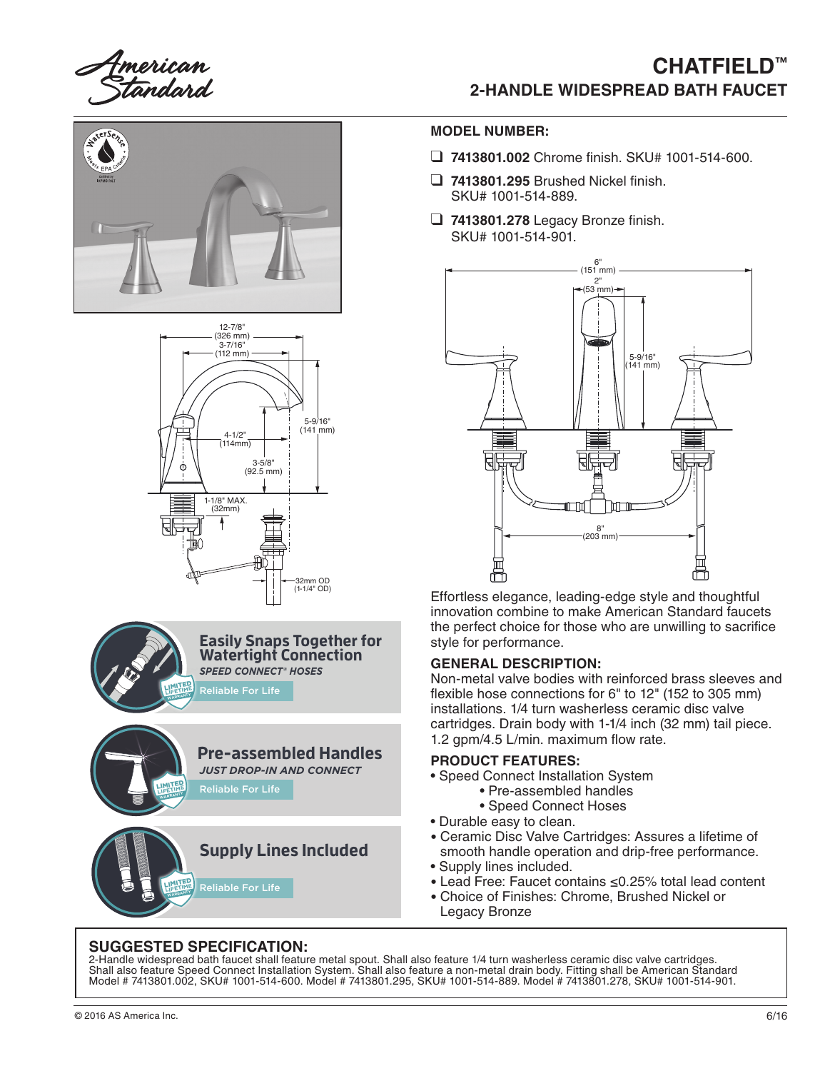Imerican<br>Standard

# **CHATFIELD**™ **2-HANDLE WIDESPREAD BATH FAUCET**









### **MODEL NUMBER:**

- ❑ **7413801.002** Chrome finish. SKU# 1001-514-600.
- ❑ **7413801.295** Brushed Nickel finish. SKU# 1001-514-889.
- ❑ **7413801.278** Legacy Bronze finish. SKU# 1001-514-901.



Effortless elegance, leading-edge style and thoughtful innovation combine to make American Standard faucets the perfect choice for those who are unwilling to sacrifice style for performance.

#### **GENERAL DESCRIPTION:**

Non-metal valve bodies with reinforced brass sleeves and flexible hose connections for 6" to 12" (152 to 305 mm) installations. 1/4 turn washerless ceramic disc valve cartridges. Drain body with 1-1/4 inch (32 mm) tail piece. 1.2 gpm/4.5 L/min. maximum flow rate.

#### **PRODUCT FEATURES:**

- Speed Connect Installation System
	- Pre-assembled handles
	- Speed Connect Hoses
- Durable easy to clean.
- Ceramic Disc Valve Cartridges: Assures a lifetime of smooth handle operation and drip-free performance. • Supply lines included.
- 
- Lead Free: Faucet contains ≤0.25% total lead content
- Choice of Finishes: Chrome, Brushed Nickel or Legacy Bronze

#### **SUGGESTED SPECIFICATION:**

2-Handle widespread bath faucet shall feature metal spout. Shall also feature 1/4 turn washerless ceramic disc valve cartridges. Shall also feature Speed Connect Installation System. Shall also feature a non-metal drain body. Fitting shall be American Standard Model # 7413801.002, SKU# 1001-514-600. Model # 7413801.295, SKU# 1001-514-889. Model # 7413801.278, SKU# 1001-514-901.